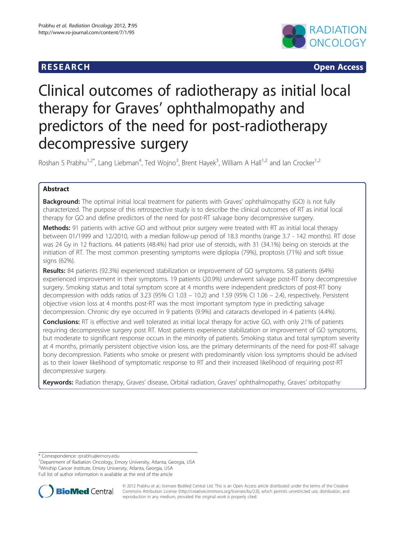# **RESEARCH CHILD CONTROL** CONTROL CONTROL CONTROL CONTROL CONTROL CONTROL CONTROL CONTROL CONTROL CONTROL CONTROL CONTROL CONTROL CONTROL CONTROL CONTROL CONTROL CONTROL CONTROL CONTROL CONTROL CONTROL CONTROL CONTROL CONTR



# Clinical outcomes of radiotherapy as initial local therapy for Graves' ophthalmopathy and predictors of the need for post-radiotherapy decompressive surgery

Roshan S Prabhu<sup>1,2\*</sup>, Lang Liebman<sup>4</sup>, Ted Wojno<sup>3</sup>, Brent Hayek<sup>3</sup>, William A Hall<sup>1,2</sup> and Ian Crocker<sup>1,2</sup>

# Abstract

**Background:** The optimal initial local treatment for patients with Graves' ophthalmopathy (GO) is not fully characterized. The purpose of this retrospective study is to describe the clinical outcomes of RT as initial local therapy for GO and define predictors of the need for post-RT salvage bony decompressive surgery.

Methods: 91 patients with active GO and without prior surgery were treated with RT as initial local therapy between 01/1999 and 12/2010, with a median follow-up period of 18.3 months (range 3.7 - 142 months). RT dose was 24 Gy in 12 fractions. 44 patients (48.4%) had prior use of steroids, with 31 (34.1%) being on steroids at the initiation of RT. The most common presenting symptoms were diplopia (79%), proptosis (71%) and soft tissue signs (62%).

Results: 84 patients (92.3%) experienced stabilization or improvement of GO symptoms. 58 patients (64%) experienced improvement in their symptoms. 19 patients (20.9%) underwent salvage post-RT bony decompressive surgery. Smoking status and total symptom score at 4 months were independent predictors of post-RT bony decompression with odds ratios of 3.23 (95% CI 1.03 – 10.2) and 1.59 (95% CI 1.06 – 2.4), respectively. Persistent objective vision loss at 4 months post-RT was the most important symptom type in predicting salvage decompression. Chronic dry eye occurred in 9 patients (9.9%) and cataracts developed in 4 patients (4.4%).

Conclusions: RT is effective and well tolerated as initial local therapy for active GO, with only 21% of patients requiring decompressive surgery post RT. Most patients experience stabilization or improvement of GO symptoms, but moderate to significant response occurs in the minority of patients. Smoking status and total symptom severity at 4 months, primarily persistent objective vision loss, are the primary determinants of the need for post-RT salvage bony decompression. Patients who smoke or present with predominantly vision loss symptoms should be advised as to their lower likelihood of symptomatic response to RT and their increased likelihood of requiring post-RT decompressive surgery.

Keywords: Radiation therapy, Graves' disease, Orbital radiation, Graves' ophthalmopathy, Graves' orbitopathy

\* Correspondence: [rprabhu@emory.edu](mailto:rprabhu@emory.edu) <sup>1</sup>

<sup>1</sup>Department of Radiation Oncology, Emory University, Atlanta, Georgia, USA

2 Winship Cancer Institute, Emory University, Atlanta, Georgia, USA

Full list of author information is available at the end of the article



© 2012 Prabhu et al.; licensee BioMed Central Ltd. This is an Open Access article distributed under the terms of the Creative Commons Attribution License [\(http://creativecommons.org/licenses/by/2.0\)](http://creativecommons.org/licenses/by/2.0), which permits unrestricted use, distribution, and reproduction in any medium, provided the original work is properly cited.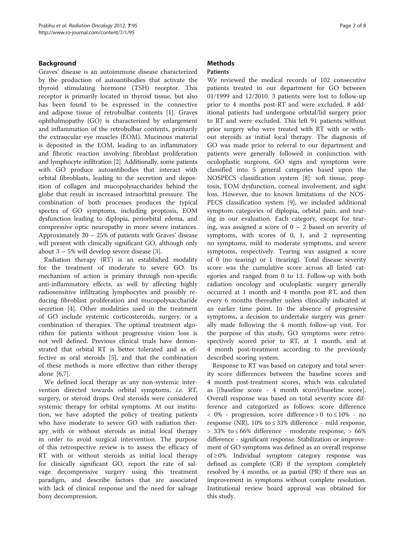# Background

Graves' disease is an autoimmune disease characterized by the production of autoantibodies that activate the thyroid stimulating hormone (TSH) receptor. This receptor is primarily located in thyroid tissue, but also has been found to be expressed in the connective and adipose tissue of retrobulbar contents [\[1](#page-6-0)]. Graves ophthalmopathy (GO) is characterized by enlargement and inflammation of the retrobulbar contents, primarily the extraocular eye muscles (EOM). Mucinous material is deposited in the EOM, leading to an inflammatory and fibrotic reaction involving fibroblast proliferation and lymphocyte infiltration [\[2\]](#page-6-0). Additionally, some patients with GO produce autoantibodies that interact with orbital fibroblasts, leading to the secretion and deposition of collagen and mucopolysaccharides behind the globe that result in increased intraorbital pressure. The combination of both processes produces the typical spectra of GO symptoms, including proptosis, EOM dysfunction leading to diplopia, periorbital edema, and compressive optic neuropathy in more severe instances. Approximately 20 – 25% of patients with Graves' disease will present with clinically significant GO, although only about 3 – 5% will develop severe disease [[3\]](#page-6-0).

Radiation therapy (RT) is an established modality for the treatment of moderate to severe GO. Its mechanism of action is primary through non-specific anti-inflammatory effects, as well by affecting highly radiosensitive infiltrating lymphocytes and possibly reducing fibroblast proliferation and mucopolysaccharide secretion [\[4](#page-6-0)]. Other modalities used in the treatment of GO include systemic corticosteroids, surgery, or a combination of therapies. The optimal treatment algorithm for patients without progressive vision loss is not well defined. Previous clinical trials have demonstrated that orbital RT is better tolerated and as effective as oral steroids [\[5](#page-6-0)], and that the combination of these methods is more effective than either therapy alone [\[6,7\]](#page-6-0).

We defined local therapy as any non-systemic intervention directed towards orbital symptoms, i.e. RT, surgery, or steroid drops. Oral steroids were considered systemic therapy for orbital symptoms. At our institution, we have adopted the policy of treating patients who have moderate to severe GO with radiation therapy with or without steroids as initial local therapy in order to avoid surgical intervention. The purpose of this retrospective review is to assess the efficacy of RT with or without steroids as initial local therapy for clinically significant GO, report the rate of salvage decompressive surgery using this treatment paradigm, and describe factors that are associated with lack of clinical response and the need for salvage bony decompression.

# **Methods**

# Patients

We reviewed the medical records of 102 consecutive patients treated in our department for GO between 01/1999 and 12/2010. 3 patients were lost to follow-up prior to 4 months post-RT and were excluded. 8 additional patients had undergone orbital/lid surgery prior to RT and were excluded. This left 91 patients without prior surgery who were treated with RT with or without steroids as initial local therapy. The diagnosis of GO was made prior to referral to our department and patients were generally followed in conjunction with oculoplastic surgeons. GO signs and symptoms were classified into 5 general categories based upon the NOSPECS classification system [\[8\]](#page-6-0): soft tissue, proptosis, EOM dysfunction, corneal involvement, and sight loss. However, due to known limitations of the NOS-PECS classification system [[9\]](#page-6-0), we included additional symptom categories of diplopia, orbital pain, and tearing in our evaluation. Each category, except for tearing, was assigned a score of  $0 - 2$  based on severity of symptoms, with scores of 0, 1, and 2 representing no symptoms, mild to moderate symptoms, and severe symptoms, respectively. Tearing was assigned a score of 0 (no tearing) or 1 (tearing). Total disease severity score was the cumulative score across all listed categories and ranged from 0 to 13. Follow-up with both radiation oncology and oculoplastic surgery generally occurred at 1 month and 4 months post RT, and then every 6 months thereafter unless clinically indicated at an earlier time point. In the absence of progressive symptoms, a decision to undertake surgery was generally made following the 4 month follow-up visit. For the purpose of this study, GO symptoms were retrospectively scored prior to RT, at 1 month, and at 4 month post-treatment according to the previously described scoring system.

Response to RT was based on category and total severity score differences between the baseline scores and 4 month post-treatment scores, which was calculated as [(baseline score - 4 month score)/baseline score]. Overall response was based on total severity score difference and categorized as follows: score difference  $< 0\%$  - progression, score difference > 0 to  $\leq 10\%$  - no response (NR),  $10\%$  to  $\leq$  33% difference - mild response,  $>$  33% to ≤ 66% difference - moderate response,  $>$  66% difference - significant response. Stabilization or improvement of GO symptoms was defined as an overall response of ≥ 0%. Individual symptom category response was defined as complete (CR) if the symptom completely resolved by 4 months, or as partial (PR) if there was an improvement in symptoms without complete resolution. Institutional review board approval was obtained for this study.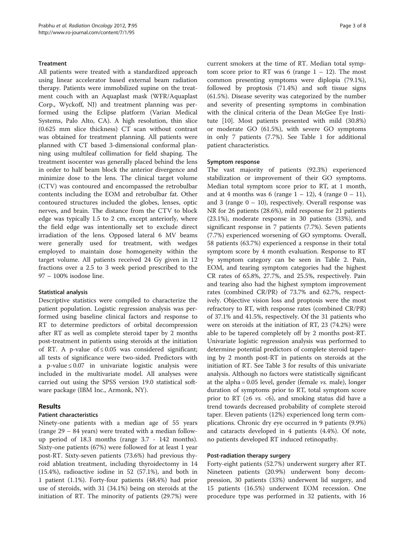# Treatment

All patients were treated with a standardized approach using linear accelerator based external beam radiation therapy. Patients were immobilized supine on the treatment couch with an Aquaplast mask (WFR/Aquaplast Corp., Wyckoff, NJ) and treatment planning was performed using the Eclipse platform (Varian Medical Systems, Palo Alto, CA). A high resolution, thin slice (0.625 mm slice thickness) CT scan without contrast was obtained for treatment planning. All patients were planned with CT based 3-dimensional conformal planning using multileaf collimation for field shaping. The treatment isocenter was generally placed behind the lens in order to half beam block the anterior divergence and minimize dose to the lens. The clinical target volume (CTV) was contoured and encompassed the retrobulbar contents including the EOM and retrobulbar fat. Other contoured structures included the globes, lenses, optic nerves, and brain. The distance from the CTV to block edge was typically 1.5 to 2 cm, except anteriorly, where the field edge was intentionally set to exclude direct irradiation of the lens. Opposed lateral 6 MV beams were generally used for treatment, with wedges employed to maintain dose homogeneity within the target volume. All patients received 24 Gy given in 12 fractions over a 2.5 to 3 week period prescribed to the 97 – 100% isodose line.

### Statistical analysis

Descriptive statistics were compiled to characterize the patient population. Logistic regression analysis was performed using baseline clinical factors and response to RT to determine predictors of orbital decompression after RT as well as complete steroid taper by 2 months post-treatment in patients using steroids at the initiation of RT. A p-value of  $\leq 0.05$  was considered significant; all tests of significance were two-sided. Predictors with a p-value ≤ 0.07 in univariate logistic analysis were included in the multivariate model. All analyses were carried out using the SPSS version 19.0 statistical software package (IBM Inc., Armonk, NY).

# Results

#### Patient characteristics

Ninety-one patients with a median age of 55 years (range 29 – 84 years) were treated with a median followup period of 18.3 months (range 3.7 - 142 months). Sixty-one patients (67%) were followed for at least 1 year post-RT. Sixty-seven patients (73.6%) had previous thyroid ablation treatment, including thyroidectomy in 14 (15.4%), radioactive iodine in 52 (57.1%), and both in 1 patient (1.1%). Forty-four patients (48.4%) had prior use of steroids, with 31 (34.1%) being on steroids at the initiation of RT. The minority of patients (29.7%) were

current smokers at the time of RT. Median total symptom score prior to RT was 6 (range  $1 - 12$ ). The most common presenting symptoms were diplopia (79.1%), followed by proptosis (71.4%) and soft tissue signs (61.5%). Disease severity was categorized by the number and severity of presenting symptoms in combination with the clinical criteria of the Dean McGee Eye Institute [[10](#page-6-0)]. Most patients presented with mild (30.8%) or moderate GO (61.5%), with severe GO symptoms in only 7 patients (7.7%). See Table [1](#page-3-0) for additional patient characteristics.

#### Symptom response

The vast majority of patients (92.3%) experienced stabilization or improvement of their GO symptoms. Median total symptom score prior to RT, at 1 month, and at 4 months was 6 (range  $1 - 12$ ), 4 (range  $0 - 11$ ), and 3 (range  $0 - 10$ ), respectively. Overall response was NR for 26 patients (28.6%), mild response for 21 patients (23.1%), moderate response in 30 patients (33%), and significant response in 7 patients (7.7%). Seven patients (7.7%) experienced worsening of GO symptoms. Overall, 58 patients (63.7%) experienced a response in their total symptom score by 4 month evaluation. Response to RT by symptom category can be seen in Table [2](#page-3-0). Pain, EOM, and tearing symptom categories had the highest CR rates of 65.8%, 27.7%, and 25.5%, respectively. Pain and tearing also had the highest symptom improvement rates (combined CR/PR) of 73.7% and 62.7%, respectively. Objective vision loss and proptosis were the most refractory to RT, with response rates (combined CR/PR) of 37.1% and 41.5%, respectively. Of the 31 patients who were on steroids at the initiation of RT, 23 (74.2%) were able to be tapered completely off by 2 months post-RT. Univariate logistic regression analysis was performed to determine potential predictors of complete steroid tapering by 2 month post-RT in patients on steroids at the initiation of RT. See Table [3](#page-3-0) for results of this univariate analysis. Although no factors were statistically significant at the alpha =  $0.05$  level, gender (female *vs.* male), longer duration of symptoms prior to RT, total symptom score prior to RT ( $\geq 6$  vs. <6), and smoking status did have a trend towards decreased probability of complete steroid taper. Eleven patients (12%) experienced long term complications. Chronic dry eye occurred in 9 patients (9.9%) and cataracts developed in 4 patients (4.4%). Of note, no patients developed RT induced retinopathy.

#### Post-radiation therapy surgery

Forty-eight patients (52.7%) underwent surgery after RT. Nineteen patients (20.9%) underwent bony decompression, 30 patients (33%) underwent lid surgery, and 15 patients (16.5%) underwent EOM recession. One procedure type was performed in 32 patients, with 16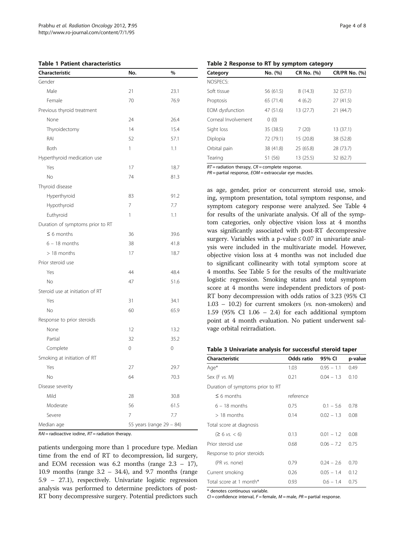<span id="page-3-0"></span>

| <b>Table 1 Patient characteristics</b> |  |
|----------------------------------------|--|
|----------------------------------------|--|

| Characteristic                   | No.            | %                        |
|----------------------------------|----------------|--------------------------|
| Gender                           |                |                          |
| Male                             | 21             | 23.1                     |
| Female                           | 70             | 76.9                     |
| Previous thyroid treatment       |                |                          |
| None                             | 24             | 26.4                     |
| Thyroidectomy                    | 14             | 15.4                     |
| RAI                              | 52             | 57.1                     |
| Both                             | 1              | 1.1                      |
| Hyperthyroid medication use      |                |                          |
| Yes                              | 17             | 18.7                     |
| No                               | 74             | 81.3                     |
| Thyroid disease                  |                |                          |
| Hyperthyroid                     | 83             | 91.2                     |
| Hypothyroid                      | 7              | 7.7                      |
| Euthyroid                        | 1              | 1.1                      |
| Duration of symptoms prior to RT |                |                          |
| $\leq 6$ months                  | 36             | 39.6                     |
| $6 - 18$ months                  | 38             | 41.8                     |
| $>18$ months                     | 17             | 18.7                     |
| Prior steroid use                |                |                          |
| Yes                              | 44             | 48.4                     |
| No                               | 47             | 51.6                     |
| Steroid use at initiation of RT  |                |                          |
| Yes                              | 31             | 34.1                     |
| No                               | 60             | 65.9                     |
| Response to prior steroids       |                |                          |
| None                             | 12             | 13.2                     |
| Partial                          | 32             | 35.2                     |
| Complete                         | 0              | 0                        |
| Smoking at initiation of RT      |                |                          |
| Yes                              | 27             | 29.7                     |
| No                               | 64             | 70.3                     |
| Disease severity                 |                |                          |
| Mild                             | 28             | 30.8                     |
| Moderate                         | 56             | 61.5                     |
| Severe                           | $\overline{7}$ | 7.7                      |
| Median age                       |                | 55 years (range 29 - 84) |

 $RAI$  = radioactive iodine,  $RT$  = radiation therapy.

patients undergoing more than 1 procedure type. Median time from the end of RT to decompression, lid surgery, and EOM recession was  $6.2$  months (range  $2.3 - 17$ ), 10.9 months (range 3.2 – 34.4), and 9.7 months (range 5.9 – 27.1), respectively. Univariate logistic regression analysis was performed to determine predictors of post-RT bony decompressive surgery. Potential predictors such

Table 2 Response to RT by symptom category

| Category            | No. (%)   | CR No. (%) | <b>CR/PR No. (%)</b> |
|---------------------|-----------|------------|----------------------|
| NOSPECS:            |           |            |                      |
| Soft tissue         | 56 (61.5) | 8(14.3)    | 32 (57.1)            |
| Proptosis           | 65 (71.4) | 4(6.2)     | 27 (41.5)            |
| EOM dysfunction     | 47 (51.6) | 13 (27.7)  | 21 (44.7)            |
| Corneal Involvement | 0(0)      |            |                      |
| Sight loss          | 35 (38.5) | 7(20)      | 13 (37.1)            |
| Diplopia            | 72 (79.1) | 15 (20.8)  | 38 (52.8)            |
| Orbital pain        | 38 (41.8) | 25 (65.8)  | 28 (73.7)            |
| Tearing             | 51 (56)   | 13 (25.5)  | 32 (62.7)            |

 $RT$  = radiation therapy,  $CR$  = complete response.

 $PR =$  partial response,  $EOM =$  extraocular eye muscles.

as age, gender, prior or concurrent steroid use, smoking, symptom presentation, total symptom response, and symptom category response were analyzed. See Table [4](#page-4-0) for results of the univariate analysis. Of all of the symptom categories, only objective vision loss at 4 months was significantly associated with post-RT decompressive surgery. Variables with a p-value  $\leq 0.07$  in univariate analysis were included in the multivariate model. However, objective vision loss at 4 months was not included due to significant collinearity with total symptom score at 4 months. See Table [5](#page-4-0) for the results of the multivariate logistic regression. Smoking status and total symptom score at 4 months were independent predictors of post-RT bony decompression with odds ratios of 3.23 (95% CI 1.03 – 10.2) for current smokers (vs. non-smokers) and 1.59 (95% CI 1.06 – 2.4) for each additional symptom point at 4 month evaluation. No patient underwent salvage orbital reirradiation.

| Characteristic                   | Odds ratio | 95% CI       | p-value |
|----------------------------------|------------|--------------|---------|
| Age*                             | 1.03       | $0.95 - 1.1$ | 0.49    |
| Sex (F vs. M)                    | 0.21       | $0.04 - 1.3$ | 0.10    |
| Duration of symptoms prior to RT |            |              |         |
| $\leq$ 6 months                  | reference  |              |         |
| $6 - 18$ months                  | 0.75       | $0.1 - 5.6$  | 0.78    |
| $>18$ months                     | 0.14       | $0.02 - 1.3$ | 0.08    |
| Total score at diagnosis         |            |              |         |
| $(26 \text{ vs. } 6)$            | 0.13       | $0.01 - 1.2$ | 0.08    |
| Prior steroid use                | 0.68       | $0.06 - 7.2$ | 0.75    |
| Response to prior steroids       |            |              |         |
| (PR vs. none)                    | 0.79       | $0.24 - 2.6$ | 0.70    |
| Current smoking                  | 0.26       | $0.05 - 1.4$ | 0.12    |
| Total score at 1 month*          | 0.93       | $0.6 - 1.4$  | 0.75    |

\* denotes continuous variable.

 $Cl =$  confidence interval,  $F =$  female,  $M =$  male,  $PR =$  partial response.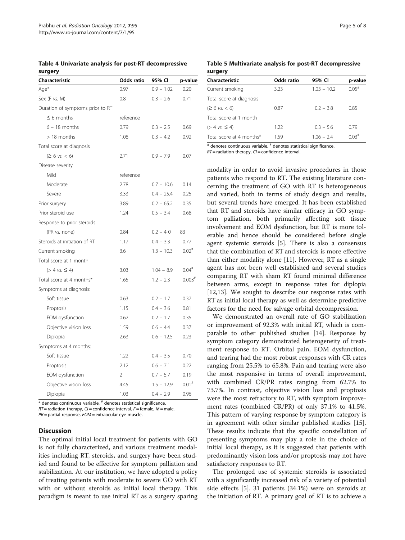<span id="page-4-0"></span>Table 4 Univariate analysis for post-RT decompressive surgery

| Characteristic                   | Odds ratio | 95% CI       | p-value              |
|----------------------------------|------------|--------------|----------------------|
| Age*                             | 0.97       | $0.9 - 1.02$ | 0.20                 |
| Sex (F vs. M)                    | 0.8        | $0.3 - 2.6$  | 0.71                 |
| Duration of symptoms prior to RT |            |              |                      |
| $\leq 6$ months                  | reference  |              |                      |
| $6 - 18$ months                  | 0.79       | $0.3 - 2.5$  | 0.69                 |
| $>18$ months                     | 1.08       | $0.3 - 4.2$  | 0.92                 |
| Total score at diagnosis         |            |              |                      |
| $(26 \text{ vs. } 6)$            | 2.71       | $0.9 - 7.9$  | 0.07                 |
| Disease severity                 |            |              |                      |
| Mild                             | reference  |              |                      |
| Moderate                         | 2.78       | $0.7 - 10.6$ | 0.14                 |
| Severe                           | 3.33       | $0.4 - 25.4$ | 0.25                 |
| Prior surgery                    | 3.89       | $0.2 - 65.2$ | 0.35                 |
| Prior steroid use                | 1.24       | $0.5 - 3.4$  | 0.68                 |
| Response to prior steroids       |            |              |                      |
| (PR vs. none)                    | 0.84       | $0.2 - 40$   | 83                   |
| Steroids at initiation of RT     | 1.17       | $0.4 - 3.3$  | 0.77                 |
| Current smoking                  | 3.6        | $1.3 - 10.3$ | $0.02$ <sup>#</sup>  |
| Total score at 1 month           |            |              |                      |
| $( > 4 \text{ vs. } \leq 4)$     | 3.03       | $1.04 - 8.9$ | $0.04$ <sup>#</sup>  |
| Total score at 4 months*         | 1.65       | $1.2 - 2.3$  | $0.003$ <sup>#</sup> |
| Symptoms at diagnosis:           |            |              |                      |
| Soft tissue                      | 0.63       | $0.2 - 1.7$  | 0.37                 |
| Proptosis                        | 1.15       | $0.4 - 3.6$  | 0.81                 |
| EOM dysfunction                  | 0.62       | $0.2 - 1.7$  | 0.35                 |
| Objective vision loss            | 1.59       | $0.6 - 4.4$  | 0.37                 |
| Diplopia                         | 2.63       | $0.6 - 12.5$ | 0.23                 |
| Symptoms at 4 months:            |            |              |                      |
| Soft tissue                      | 1.22       | $0.4 - 3.5$  | 0.70                 |
| Proptosis                        | 2.12       | $0.6 - 7.1$  | 0.22                 |
| EOM dysfunction                  | 2          | $0.7 - 5.7$  | 0.19                 |
| Objective vision loss            | 4.45       | $1.5 - 12.9$ | $0.01$ <sup>#</sup>  |
| Diplopia                         | 1.03       | $0.4 - 2.9$  | 0.96                 |

\* denotes continuous variable, # denotes statistical significance.

 $RT$  = radiation therapy,  $CI$  = confidence interval,  $F$  = female,  $M$  = male,

 $PR =$  partial response,  $EOM =$  extraocular eve muscle.

### **Discussion**

The optimal initial local treatment for patients with GO is not fully characterized, and various treatment modalities including RT, steroids, and surgery have been studied and found to be effective for symptom palliation and stabilization. At our institution, we have adopted a policy of treating patients with moderate to severe GO with RT with or without steroids as initial local therapy. This paradigm is meant to use initial RT as a surgery sparing

| Characteristic                                                                                                        | Odds ratio | 95% CI        | p-value             |
|-----------------------------------------------------------------------------------------------------------------------|------------|---------------|---------------------|
| Current smoking                                                                                                       | 3.23       | $1.03 - 10.2$ | $0.05$ <sup>#</sup> |
| Total score at diagnosis                                                                                              |            |               |                     |
| $(26 \text{ vs. } 6)$                                                                                                 | 0.87       | $0.2 - 3.8$   | 0.85                |
| Total score at 1 month                                                                                                |            |               |                     |
| $( > 4 \text{ vs. } \leq 4)$                                                                                          | 1.22       | $0.3 - 5.6$   | 0.79                |
| Total score at 4 months*                                                                                              | 159        | $1.06 - 2.4$  | $0.03$ <sup>#</sup> |
| we have the set of the set of the set of the set of the set of the set of the set of the set of the set of the $\sim$ |            |               |                     |

 $^*$  denotes continuous variable,  $^{\#}$  denotes statistical significance.  $RT$  = radiation therapy,  $CI$  = confidence interval.

modality in order to avoid invasive procedures in those patients who respond to RT. The existing literature concerning the treatment of GO with RT is heterogeneous and varied, both in terms of study design and results, but several trends have emerged. It has been established that RT and steroids have similar efficacy in GO symptom palliation, both primarily affecting soft tissue involvement and EOM dysfunction, but RT is more tolerable and hence should be considered before single agent systemic steroids [\[5](#page-6-0)]. There is also a consensus that the combination of RT and steroids is more effective than either modality alone [[11\]](#page-6-0). However, RT as a single agent has not been well established and several studies comparing RT with sham RT found minimal difference between arms, except in response rates for diplopia [[12,13\]](#page-6-0). We sought to describe our response rates with RT as initial local therapy as well as determine predictive factors for the need for salvage orbital decompression.

We demonstrated an overall rate of GO stabilization or improvement of 92.3% with initial RT, which is comparable to other published studies [\[14\]](#page-6-0). Response by symptom category demonstrated heterogeneity of treatment response to RT. Orbital pain, EOM dysfunction, and tearing had the most robust responses with CR rates ranging from 25.5% to 65.8%. Pain and tearing were also the most responsive in terms of overall improvement, with combined CR/PR rates ranging from 62.7% to 73.7%. In contrast, objective vision loss and proptosis were the most refractory to RT, with symptom improvement rates (combined CR/PR) of only 37.1% to 41.5%. This pattern of varying response by symptom category is in agreement with other similar published studies [\[15](#page-6-0)]. These results indicate that the specific constellation of presenting symptoms may play a role in the choice of initial local therapy, as it is suggested that patients with predominantly vision loss and/or proptosis may not have satisfactory responses to RT.

The prolonged use of systemic steroids is associated with a significantly increased risk of a variety of potential side effects [\[5](#page-6-0)]. 31 patients (34.1%) were on steroids at the initiation of RT. A primary goal of RT is to achieve a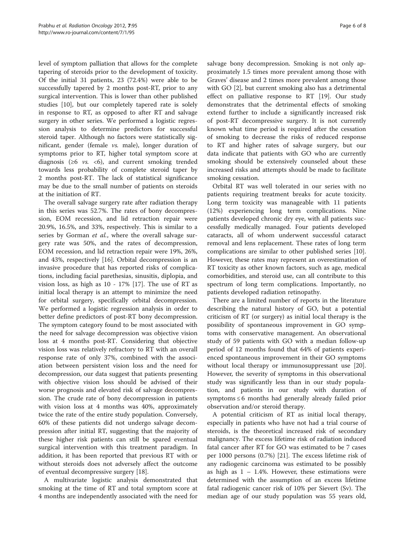level of symptom palliation that allows for the complete tapering of steroids prior to the development of toxicity. Of the initial 31 patients, 23 (72.4%) were able to be successfully tapered by 2 months post-RT, prior to any surgical intervention. This is lower than other published studies [\[10\]](#page-6-0), but our completely tapered rate is solely in response to RT, as opposed to after RT and salvage surgery in other series. We performed a logistic regression analysis to determine predictors for successful steroid taper. Although no factors were statistically significant, gender (female vs. male), longer duration of symptoms prior to RT, higher total symptom score at diagnosis ( $\geq 6$  *vs.*  $\lt 6$ ), and current smoking trended towards less probability of complete steroid taper by 2 months post-RT. The lack of statistical significance may be due to the small number of patients on steroids at the initiation of RT.

The overall salvage surgery rate after radiation therapy in this series was 52.7%. The rates of bony decompression, EOM recession, and lid retraction repair were 20.9%, 16.5%, and 33%, respectively. This is similar to a series by Gorman *et al.*, where the overall salvage surgery rate was 50%, and the rates of decompression, EOM recession, and lid retraction repair were 19%, 26%, and 43%, respectively [\[16\]](#page-6-0). Orbital decompression is an invasive procedure that has reported risks of complications, including facial parethesias, sinusitis, diplopia, and vision loss, as high as 10 - 17% [[17\]](#page-7-0). The use of RT as initial local therapy is an attempt to minimize the need for orbital surgery, specifically orbital decompression. We performed a logistic regression analysis in order to better define predictors of post-RT bony decompression. The symptom category found to be most associated with the need for salvage decompression was objective vision loss at 4 months post-RT. Considering that objective vision loss was relatively refractory to RT with an overall response rate of only 37%, combined with the association between persistent vision loss and the need for decompression, our data suggest that patients presenting with objective vision loss should be advised of their worse prognosis and elevated risk of salvage decompression. The crude rate of bony decompression in patients with vision loss at 4 months was 40%, approximately twice the rate of the entire study population. Conversely, 60% of these patients did not undergo salvage decompression after initial RT, suggesting that the majority of these higher risk patients can still be spared eventual surgical intervention with this treatment paradigm. In addition, it has been reported that previous RT with or without steroids does not adversely affect the outcome of eventual decompressive surgery [[18](#page-7-0)].

A multivariate logistic analysis demonstrated that smoking at the time of RT and total symptom score at 4 months are independently associated with the need for

salvage bony decompression. Smoking is not only approximately 1.5 times more prevalent among those with Graves' disease and 2 times more prevalent among those with GO [[2\]](#page-6-0), but current smoking also has a detrimental effect on palliative response to RT [\[19\]](#page-7-0). Our study demonstrates that the detrimental effects of smoking extend further to include a significantly increased risk of post-RT decompressive surgery. It is not currently known what time period is required after the cessation of smoking to decrease the risks of reduced response to RT and higher rates of salvage surgery, but our data indicate that patients with GO who are currently smoking should be extensively counseled about these increased risks and attempts should be made to facilitate smoking cessation.

Orbital RT was well tolerated in our series with no patients requiring treatment breaks for acute toxicity. Long term toxicity was manageable with 11 patients (12%) experiencing long term complications. Nine patients developed chronic dry eye, with all patients successfully medically managed. Four patients developed cataracts, all of whom underwent successful cataract removal and lens replacement. These rates of long term complications are similar to other published series [\[10](#page-6-0)]. However, these rates may represent an overestimation of RT toxicity as other known factors, such as age, medical comorbidities, and steroid use, can all contribute to this spectrum of long term complications. Importantly, no patients developed radiation retinopathy.

There are a limited number of reports in the literature describing the natural history of GO, but a potential criticism of RT (or surgery) as initial local therapy is the possibility of spontaneous improvement in GO symptoms with conservative management. An observational study of 59 patients with GO with a median follow-up period of 12 months found that 64% of patients experienced spontaneous improvement in their GO symptoms without local therapy or immunosuppressant use [\[20](#page-7-0)]. However, the severity of symptoms in this observational study was significantly less than in our study population, and patients in our study with duration of symptoms ≤ 6 months had generally already failed prior observation and/or steroid therapy.

A potential criticism of RT as initial local therapy, especially in patients who have not had a trial course of steroids, is the theoretical increased risk of secondary malignancy. The excess lifetime risk of radiation induced fatal cancer after RT for GO was estimated to be 7 cases per 1000 persons (0.7%) [\[21\]](#page-7-0). The excess lifetime risk of any radiogenic carcinoma was estimated to be possibly as high as  $1 - 1.4$ %. However, these estimations were determined with the assumption of an excess lifetime fatal radiogenic cancer risk of 10% per Sievert (Sv). The median age of our study population was 55 years old,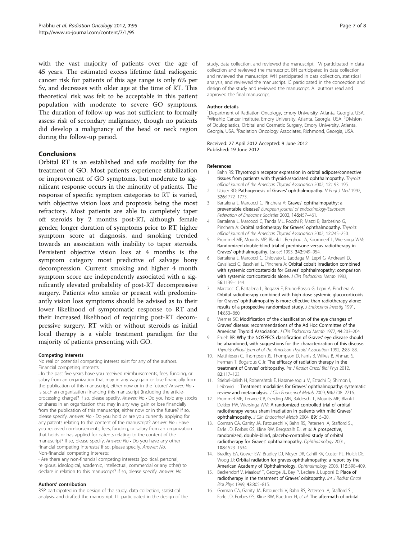<span id="page-6-0"></span>with the vast majority of patients over the age of 45 years. The estimated excess lifetime fatal radiogenic cancer risk for patients of this age range is only 6% per Sv, and decreases with older age at the time of RT. This theoretical risk was felt to be acceptable in this patient population with moderate to severe GO symptoms. The duration of follow-up was not sufficient to formally assess risk of secondary malignancy, though no patients did develop a malignancy of the head or neck region during the follow-up period.

## **Conclusions**

Orbital RT is an established and safe modality for the treatment of GO. Most patients experience stabilization or improvement of GO symptoms, but moderate to significant response occurs in the minority of patients. The response of specific symptom categories to RT is varied, with objective vision loss and proptosis being the most refractory. Most patients are able to completely taper off steroids by 2 months post-RT, although female gender, longer duration of symptoms prior to RT, higher symptom score at diagnosis, and smoking trended towards an association with inability to taper steroids. Persistent objective vision loss at 4 months is the symptom category most predictive of salvage bony decompression. Current smoking and higher 4 month symptom score are independently associated with a significantly elevated probability of post-RT decompressive surgery. Patients who smoke or present with predominantly vision loss symptoms should be advised as to their lower likelihood of symptomatic response to RT and their increased likelihood of requiring post-RT decompressive surgery. RT with or without steroids as initial local therapy is a viable treatment paradigm for the majority of patients presenting with GO.

#### Competing interests

No real or potential competing interest exist for any of the authors. Financial competing interests:

• In the past five years have you received reimbursements, fees, funding, or salary from an organization that may in any way gain or lose financially from the publication of this manuscript, either now or in the future? Answer: No  $\cdot$ Is such an organization financing this manuscript (including the articleprocessing charge)? If so, please specify. Answer: No • Do you hold any stocks or shares in an organization that may in any way gain or lose financially from the publication of this manuscript, either now or in the future? If so, please specify. Answer: No • Do you hold or are you currently applying for any patents relating to the content of the manuscript? Answer: No  $\cdot$  Have you received reimbursements, fees, funding, or salary from an organization that holds or has applied for patents relating to the content of the manuscript? If so, please specify. Answer: No · Do you have any other financial competing interests? If so, please specify. Answer: No. Non-financial competing interests:

• Are there any non-financial competing interests (political, personal, religious, ideological, academic, intellectual, commercial or any other) to declare in relation to this manuscript? If so, please specify. Answer: No.

#### Authors' contribution

RSP participated in the design of the study, data collection, statistical analysis, and drafted the manuscript. LL participated in the design of the

study, data collection, and reviewed the manuscript. TW participated in data collection and reviewed the manuscript. BH participated in data collection and reviewed the manuscript. WH participated in data collection, statistical analysis, and reviewed the manuscript. IC participated in the conception and design of the study and reviewed the manuscript. All authors read and approved the final manuscript.

#### Author details

<sup>1</sup>Department of Radiation Oncology, Emory University, Atlanta, Georgia, USA <sup>2</sup>Winship Cancer Institute, Emory University, Atlanta, Georgia, USA. <sup>3</sup>Division of Oculoplastics, Orbital and Cosmetic Surgery, Emory University, Atlanta, Georgia, USA. <sup>4</sup>Radiation Oncology Associates, Richmond, Georgia, USA

#### Received: 27 April 2012 Accepted: 9 June 2012 Published: 19 June 2012

#### References

- Bahn RS: Thyrotropin receptor expression in orbital adipose/connective tissues from patients with thyroid-associated ophthalmopathy. Thyroid: official journal of the American Thyroid Association 2002, 12:193–195.
- 2. Utiger RD: Pathogenesis of Graves' ophthalmopathy. N Engl J Med 1992, 326:1772–1773.
- 3. Bartalena L, Marcocci C, Pinchera A: Graves' ophthalmopathy: a preventable disease? European journal of endocrinology/European Federation of Endocrine Societies 2002, 146:457–461.
- 4. Bartalena L, Marcocci C, Tanda ML, Rocchi R, Mazzi B, Barbesino G, Pinchera A: Orbital radiotherapy for Graves' ophthalmopathy. Thyroid: official journal of the American Thyroid Association 2002, 12:245–250.
- 5. Prummel MF, Mourits MP, Blank L, Berghout A, Koornneef L, Wiersinga WM: Randomized double-blind trial of prednisone versus radiotherapy in Graves' ophthalmopathy. Lancet 1993, 342:949–954.
- 6. Bartalena L, Marcocci C, Chiovato L, Laddaga M, Lepri G, Andreani D, Cavallacci G, Baschieri L, Pinchera A: Orbital cobalt irradiation combined with systemic corticosteroids for Graves' ophthalmopathy: comparison with systemic corticosteroids alone. J Clin Endocrinol Metab 1983, 56:1139–1144.
- 7. Marcocci C, Bartalena L, Bogazzi F, Bruno-Bossio G, Lepri A, Pinchera A: Orbital radiotherapy combined with high dose systemic glucocorticoids for Graves' ophthalmopathy is more effective than radiotherapy alone: results of a prospective randomized study. J Endocrinol Investig 1991, 14:853–860.
- 8. Werner SC: Modification of the classification of the eye changes of Graves' disease: recommendations of the Ad Hoc Committee of the American Thyroid Association. J Clin Endocrinol Metab 1977, 44:203–204.
- 9. Frueh BR: Why the NOSPECS classification of Graves' eye disease should be abandoned, with suggestions for the characterization of this disease. Thyroid: official journal of the American Thyroid Association 1992, 2:85–88.
- 10. Matthiesen C, Thompson JS, Thompson D, Farris B, Wilkes B, Ahmad S, Herman T, Bogardus C Jr: The efficacy of radiation therapy in the treatment of Graves' orbitopathy. Int J Radiat Oncol Biol Phys 2012, 82:117–123.
- 11. Stiebel-Kalish H, Robenshtok E, Hasanreisoglu M, Ezrachi D, Shimon I, Leibovici L: Treatment modalities for Graves' ophthalmopathy: systematic review and metaanalysis. J Clin Endocrinol Metab 2009, 94:2708–2716.
- 12. Prummel MF, Terwee CB, Gerding MN, Baldeschi L, Mourits MP, Blank L, Dekker FW, Wiersinga WM: A randomized controlled trial of orbital radiotherapy versus sham irradiation in patients with mild Graves' ophthalmopathy. J Clin Endocrinol Metab 2004, 89:15-20.
- 13. Gorman CA, Garrity JA, Fatourechi V, Bahn RS, Petersen IA, Stafford SL, Earle JD, Forbes GS, Kline RW, Bergstralh EJ, et al: A prospective, randomized, double-blind, placebo-controlled study of orbital radiotherapy for Graves' ophthalmopathy. Ophthalmology 2001, 108:1523–1534.
- 14. Bradley EA, Gower EW, Bradley DJ, Meyer DR, Cahill KV, Custer PL, Holck DE, Woog JJ: Orbital radiation for graves ophthalmopathy: a report by the American Academy of Ophthalmology. Ophthalmology 2008, 115:398–409.
- 15. Beckendorf V, Maalouf T, George JL, Bey P, Leclere J, Luporsi E: Place of radiotherapy in the treatment of Graves' orbitopathy. Int J Radiat Oncol Biol Phys 1999, 43:805–815.
- 16. Gorman CA, Garrity JA, Fatourechi V, Bahn RS, Petersen IA, Stafford SL, Earle JD, Forbes GS, Kline RW, Buettner H, et al: The aftermath of orbital